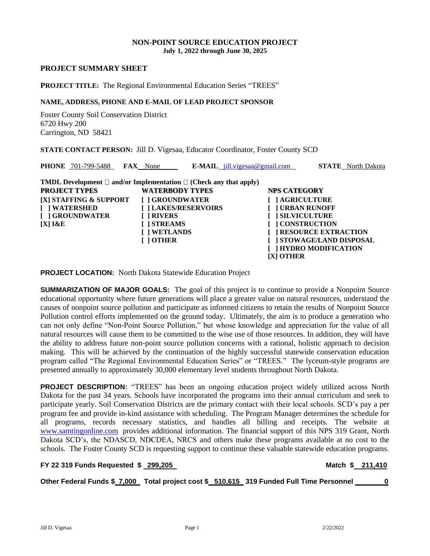### **NON-POINT SOURCE EDUCATION PROJECT July 1, 2022 through June 30, 2025**

#### **PROJECT SUMMARY SHEET**

### **PROJECT TITLE:** The Regional Environmental Education Series "TREES"

# **NAME, ADDRESS, PHONE AND E-MAIL OF LEAD PROJECT SPONSOR**

Foster County Soil Conservation District 6720 Hwy 200 Carrington, ND 58421

**STATE CONTACT PERSON:** Jill D. Vigesaa, Educator Coordinator, Foster County SCD

| <b>PHONE</b> 701-799-5488<br><b>FAX</b> None                                                                                                                                                                                                      |                                                                                  | $E\text{-}MAIL$ jill.vigesaa@gmail.com                                                                                      | <b>STATE</b> North Dakota                                                           |
|---------------------------------------------------------------------------------------------------------------------------------------------------------------------------------------------------------------------------------------------------|----------------------------------------------------------------------------------|-----------------------------------------------------------------------------------------------------------------------------|-------------------------------------------------------------------------------------|
| <b>TMDL Development</b> $\Box$ and/or Implementation $\Box$ (Check any that apply)<br><b>PROJECT TYPES</b><br>[X] STAFFING & SUPPORT<br><b>WATERSHED</b><br>[ ] GROUNDWATER<br>[ ] RIVERS<br><b>I ISTREAMS</b><br>$[X]$ $R$ $E$<br><b>I OTHER</b> | <b>WATERBODY TYPES</b><br>[ ] GROUNDWATER<br>[] LAKES/RESERVOIRS<br>[ ] WETLANDS | <b>NPS CATEGORY</b><br><b>AGRICULTURE</b><br><b>URBAN RUNOFF</b><br><b>SILVICULTURE</b><br><b>CONSTRUCTION</b><br>[X] OTHER | <b>RESOURCE EXTRACTION</b><br>[] STOWAGE/LAND DISPOSAL<br><b>HYDRO MODIFICATION</b> |

**PROJECT LOCATION:** North Dakota Statewide Education Project

**SUMMARIZATION OF MAJOR GOALS:** The goal of this project is to continue to provide a Nonpoint Source educational opportunity where future generations will place a greater value on natural resources, understand the causes of nonpoint source pollution and participate as informed citizens to retain the results of Nonpoint Source Pollution control efforts implemented on the ground today. Ultimately, the aim is to produce a generation who can not only define "Non-Point Source Pollution," but whose knowledge and appreciation for the value of all natural resources will cause them to be committed to the wise use of those resources. In addition, they will have the ability to address future non-point source pollution concerns with a rational, holistic approach to decision making. This will be achieved by the continuation of the highly successful statewide conservation education program called "The Regional Environmental Education Series" or "TREES." The lyceum-style programs are presented annually to approximately 30,000 elementary level students throughout North Dakota.

**PROJECT DESCRIPTION:** "TREES" has been an ongoing education project widely utilized across North Dakota for the past 34 years. Schools have incorporated the programs into their annual curriculum and seek to participate yearly. Soil Conservation Districts are the primary contact with their local schools. SCD's pay a per program fee and provide in-kind assistance with scheduling. The Program Manager determines the schedule for all programs, records necessary statistics, and handles all billing and receipts. The website at [www.samtingonline.com](http://www.samtingonline.com/) provides additional information. The financial support of this NPS 319 Grant, North Dakota SCD's, the NDASCD, NDCDEA, NRCS and others make these programs available at no cost to the schools. The Foster County SCD is requesting support to continue these valuable statewide education programs.

### **FY 22 319 Funds Requested \$ 299,205 Match \$ 211,410**

**Other Federal Funds \$ 7,000 Total project cost \$ 510,615 319 Funded Full Time Personnel 0** 

Jill D. Vigesaa 2/22/2022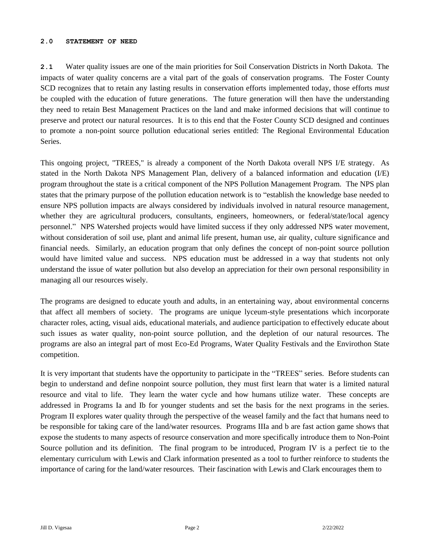#### **2.0 STATEMENT OF NEED**

**2.1** Water quality issues are one of the main priorities for Soil Conservation Districts in North Dakota. The impacts of water quality concerns are a vital part of the goals of conservation programs. The Foster County SCD recognizes that to retain any lasting results in conservation efforts implemented today, those efforts *must* be coupled with the education of future generations. The future generation will then have the understanding they need to retain Best Management Practices on the land and make informed decisions that will continue to preserve and protect our natural resources. It is to this end that the Foster County SCD designed and continues to promote a non-point source pollution educational series entitled: The Regional Environmental Education Series.

This ongoing project, "TREES," is already a component of the North Dakota overall NPS I/E strategy. As stated in the North Dakota NPS Management Plan, delivery of a balanced information and education (I/E) program throughout the state is a critical component of the NPS Pollution Management Program. The NPS plan states that the primary purpose of the pollution education network is to "establish the knowledge base needed to ensure NPS pollution impacts are always considered by individuals involved in natural resource management, whether they are agricultural producers, consultants, engineers, homeowners, or federal/state/local agency personnel." NPS Watershed projects would have limited success if they only addressed NPS water movement, without consideration of soil use, plant and animal life present, human use, air quality, culture significance and financial needs. Similarly, an education program that only defines the concept of non-point source pollution would have limited value and success. NPS education must be addressed in a way that students not only understand the issue of water pollution but also develop an appreciation for their own personal responsibility in managing all our resources wisely.

The programs are designed to educate youth and adults, in an entertaining way, about environmental concerns that affect all members of society. The programs are unique lyceum-style presentations which incorporate character roles, acting, visual aids, educational materials, and audience participation to effectively educate about such issues as water quality, non-point source pollution, and the depletion of our natural resources. The programs are also an integral part of most Eco-Ed Programs, Water Quality Festivals and the Envirothon State competition.

It is very important that students have the opportunity to participate in the "TREES" series. Before students can begin to understand and define nonpoint source pollution, they must first learn that water is a limited natural resource and vital to life. They learn the water cycle and how humans utilize water. These concepts are addressed in Programs Ia and Ib for younger students and set the basis for the next programs in the series. Program II explores water quality through the perspective of the weasel family and the fact that humans need to be responsible for taking care of the land/water resources. Programs IIIa and b are fast action game shows that expose the students to many aspects of resource conservation and more specifically introduce them to Non-Point Source pollution and its definition. The final program to be introduced, Program IV is a perfect tie to the elementary curriculum with Lewis and Clark information presented as a tool to further reinforce to students the importance of caring for the land/water resources. Their fascination with Lewis and Clark encourages them to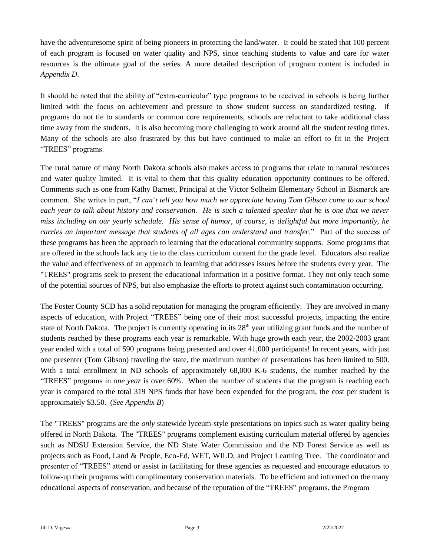have the adventuresome spirit of being pioneers in protecting the land/water. It could be stated that 100 percent of each program is focused on water quality and NPS, since teaching students to value and care for water resources is the ultimate goal of the series. A more detailed description of program content is included in *Appendix D*.

It should be noted that the ability of "extra-curricular" type programs to be received in schools is being further limited with the focus on achievement and pressure to show student success on standardized testing. If programs do not tie to standards or common core requirements, schools are reluctant to take additional class time away from the students. It is also becoming more challenging to work around all the student testing times. Many of the schools are also frustrated by this but have continued to make an effort to fit in the Project "TREES" programs.

The rural nature of many North Dakota schools also makes access to programs that relate to natural resources and water quality limited. It is vital to them that this quality education opportunity continues to be offered. Comments such as one from Kathy Barnett, Principal at the Victor Solheim Elementary School in Bismarck are common. She writes in part, "*I can't tell you how much we appreciate having Tom Gibson come to our school each year to talk about history and conservation. He is such a talented speaker that he is one that we never miss including on our yearly schedule. His sense of humor, of course, is delightful but more importantly, he carries an important message that students of all ages can understand and transfer.*" Part of the success of these programs has been the approach to learning that the educational community supports. Some programs that are offered in the schools lack any tie to the class curriculum content for the grade level. Educators also realize the value and effectiveness of an approach to learning that addresses issues before the students every year. The "TREES" programs seek to present the educational information in a positive format. They not only teach some of the potential sources of NPS, but also emphasize the efforts to protect against such contamination occurring.

The Foster County SCD has a solid reputation for managing the program efficiently. They are involved in many aspects of education, with Project "TREES" being one of their most successful projects, impacting the entire state of North Dakota. The project is currently operating in its 28<sup>th</sup> year utilizing grant funds and the number of students reached by these programs each year is remarkable. With huge growth each year, the 2002-2003 grant year ended with a total of 590 programs being presented and over 41,000 participants! In recent years, with just one presenter (Tom Gibson) traveling the state, the maximum number of presentations has been limited to 500. With a total enrollment in ND schools of approximately 68,000 K-6 students, the number reached by the "TREES" programs in *one year* is over 60%. When the number of students that the program is reaching each year is compared to the total 319 NPS funds that have been expended for the program, the cost per student is approximately \$3.50. (*See Appendix B*)

The "TREES" programs are the *only* statewide lyceum-style presentations on topics such as water quality being offered in North Dakota. The "TREES" programs complement existing curriculum material offered by agencies such as NDSU Extension Service, the ND State Water Commission and the ND Forest Service as well as projects such as Food, Land & People, Eco-Ed, WET, WILD, and Project Learning Tree. The coordinator and presenter of "TREES" attend or assist in facilitating for these agencies as requested and encourage educators to follow-up their programs with complimentary conservation materials. To be efficient and informed on the many educational aspects of conservation, and because of the reputation of the "TREES" programs, the Program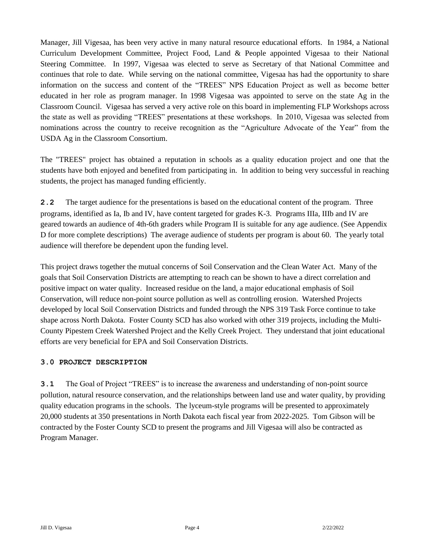Manager, Jill Vigesaa, has been very active in many natural resource educational efforts. In 1984, a National Curriculum Development Committee, Project Food, Land & People appointed Vigesaa to their National Steering Committee. In 1997, Vigesaa was elected to serve as Secretary of that National Committee and continues that role to date. While serving on the national committee, Vigesaa has had the opportunity to share information on the success and content of the "TREES" NPS Education Project as well as become better educated in her role as program manager. In 1998 Vigesaa was appointed to serve on the state Ag in the Classroom Council. Vigesaa has served a very active role on this board in implementing FLP Workshops across the state as well as providing "TREES" presentations at these workshops. In 2010, Vigesaa was selected from nominations across the country to receive recognition as the "Agriculture Advocate of the Year" from the USDA Ag in the Classroom Consortium.

The "TREES" project has obtained a reputation in schools as a quality education project and one that the students have both enjoyed and benefited from participating in. In addition to being very successful in reaching students, the project has managed funding efficiently.

**2.2** The target audience for the presentations is based on the educational content of the program. Three programs, identified as Ia, Ib and IV, have content targeted for grades K-3. Programs IIIa, IIIb and IV are geared towards an audience of 4th-6th graders while Program II is suitable for any age audience. (See Appendix D for more complete descriptions) The average audience of students per program is about 60. The yearly total audience will therefore be dependent upon the funding level.

This project draws together the mutual concerns of Soil Conservation and the Clean Water Act. Many of the goals that Soil Conservation Districts are attempting to reach can be shown to have a direct correlation and positive impact on water quality. Increased residue on the land, a major educational emphasis of Soil Conservation, will reduce non-point source pollution as well as controlling erosion. Watershed Projects developed by local Soil Conservation Districts and funded through the NPS 319 Task Force continue to take shape across North Dakota. Foster County SCD has also worked with other 319 projects, including the Multi-County Pipestem Creek Watershed Project and the Kelly Creek Project. They understand that joint educational efforts are very beneficial for EPA and Soil Conservation Districts.

### **3.0 PROJECT DESCRIPTION**

**3.1** The Goal of Project "TREES" is to increase the awareness and understanding of non-point source pollution, natural resource conservation, and the relationships between land use and water quality, by providing quality education programs in the schools. The lyceum-style programs will be presented to approximately 20,000 students at 350 presentations in North Dakota each fiscal year from 2022-2025. Tom Gibson will be contracted by the Foster County SCD to present the programs and Jill Vigesaa will also be contracted as Program Manager.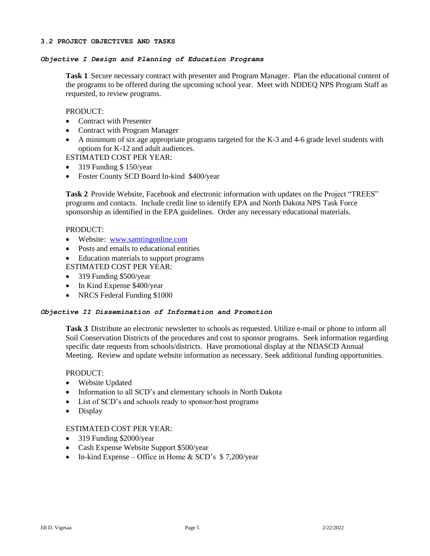### *Objective I Design and Planning of Education Programs*

**Task 1** Secure necessary contract with presenter and Program Manager. Plan the educational content of the programs to be offered during the upcoming school year. Meet with NDDEQ NPS Program Staff as requested, to review programs.

### PRODUCT:

- Contract with Presenter
- Contract with Program Manager
- A minimum of six age appropriate programs targeted for the K-3 and 4-6 grade level students with options for K-12 and adult audiences.

ESTIMATED COST PER YEAR:

- 319 Funding \$150/year
- Foster County SCD Board In-kind \$400/year

**Task 2** Provide Website, Facebook and electronic information with updates on the Project "TREES" programs and contacts. Include credit line to identify EPA and North Dakota NPS Task Force sponsorship as identified in the EPA guidelines. Order any necessary educational materials.

### PRODUCT:

- Website: [www.samtingonline.com](http://www.samtingonline.com/)
- Posts and emails to educational entities
- Education materials to support programs ESTIMATED COST PER YEAR:
- 319 Funding \$500/year
- In Kind Expense \$400/year
- NRCS Federal Funding \$1000

### *Objective II Dissemination of Information and Promotion*

**Task 3** Distribute an electronic newsletter to schools as requested. Utilize e-mail or phone to inform all Soil Conservation Districts of the procedures and cost to sponsor programs. Seek information regarding specific date requests from schools/districts. Have promotional display at the NDASCD Annual Meeting. Review and update website information as necessary. Seek additional funding opportunities.

### PRODUCT:

- Website Updated
- Information to all SCD's and elementary schools in North Dakota
- List of SCD's and schools ready to sponsor/host programs
- Display

### ESTIMATED COST PER YEAR:

- 319 Funding \$2000/year
- Cash Expense Website Support \$500/year
- In-kind Expense Office in Home & SCD's  $$7,200/year$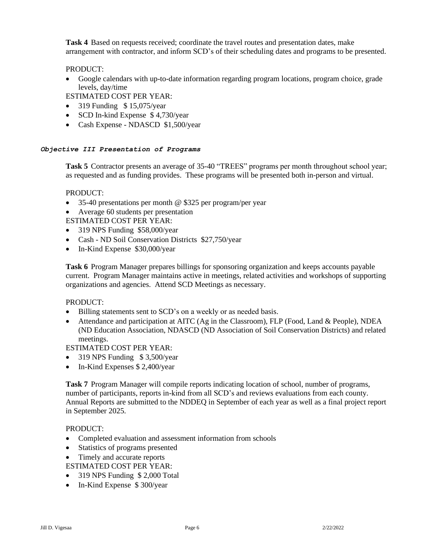**Task 4** Based on requests received; coordinate the travel routes and presentation dates, make arrangement with contractor, and inform SCD's of their scheduling dates and programs to be presented.

### PRODUCT:

• Google calendars with up-to-date information regarding program locations, program choice, grade levels, day/time

ESTIMATED COST PER YEAR:

- 319 Funding  $$ 15,075$ /year
- SCD In-kind Expense \$4,730/year
- Cash Expense NDASCD \$1,500/year

### *Objective III Presentation of Programs*

**Task 5** Contractor presents an average of 35-40 "TREES" programs per month throughout school year; as requested and as funding provides. These programs will be presented both in-person and virtual.

### PRODUCT:

- 35-40 presentations per month @ \$325 per program/per year
- Average 60 students per presentation

ESTIMATED COST PER YEAR:

- 319 NPS Funding \$58,000/year
- Cash ND Soil Conservation Districts \$27,750/year
- In-Kind Expense \$30,000/year

**Task 6** Program Manager prepares billings for sponsoring organization and keeps accounts payable current. Program Manager maintains active in meetings, related activities and workshops of supporting organizations and agencies. Attend SCD Meetings as necessary.

### PRODUCT:

- Billing statements sent to SCD's on a weekly or as needed basis.
- Attendance and participation at AITC (Ag in the Classroom), FLP (Food, Land & People), NDEA (ND Education Association, NDASCD (ND Association of Soil Conservation Districts) and related meetings.

ESTIMATED COST PER YEAR:

- 319 NPS Funding \$3,500/year
- In-Kind Expenses \$ 2,400/year

**Task 7** Program Manager will compile reports indicating location of school, number of programs, number of participants, reports in-kind from all SCD's and reviews evaluations from each county. Annual Reports are submitted to the NDDEQ in September of each year as well as a final project report in September 2025.

### PRODUCT:

- Completed evaluation and assessment information from schools
- Statistics of programs presented
- Timely and accurate reports
- ESTIMATED COST PER YEAR:
- 319 NPS Funding \$ 2,000 Total
- In-Kind Expense \$300/year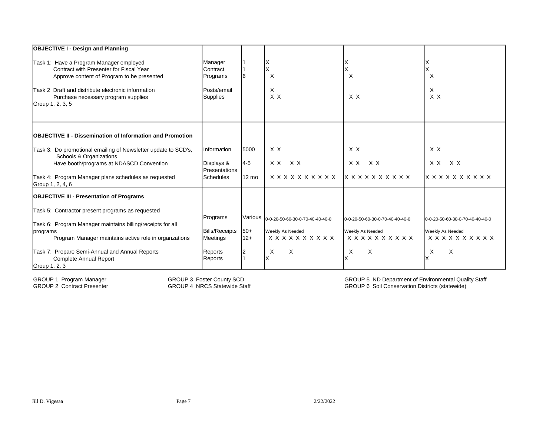| <b>OBJECTIVE I - Design and Planning</b>                                                                                                                                                                                                          |                                                                   |                 |                                                                                    |                                                                            |                                                                            |
|---------------------------------------------------------------------------------------------------------------------------------------------------------------------------------------------------------------------------------------------------|-------------------------------------------------------------------|-----------------|------------------------------------------------------------------------------------|----------------------------------------------------------------------------|----------------------------------------------------------------------------|
| Task 1: Have a Program Manager employed<br>Contract with Presenter for Fiscal Year<br>Approve content of Program to be presented<br>Task 2 Draft and distribute electronic information<br>Purchase necessary program supplies<br>Group 1, 2, 3, 5 | Manager<br>Contract<br>Programs<br>Posts/email<br><b>Supplies</b> |                 | X<br>X<br>X<br>$X$ $X$                                                             | X<br>X X                                                                   | $\times$<br>X<br>X X                                                       |
| <b>OBJECTIVE II - Dissemination of Information and Promotion</b>                                                                                                                                                                                  |                                                                   |                 |                                                                                    |                                                                            |                                                                            |
| Task 3: Do promotional emailing of Newsletter update to SCD's,<br>Schools & Organizations<br>Have booth/programs at NDASCD Convention                                                                                                             | <b>Information</b><br>Displays &                                  | 5000<br>$4 - 5$ | X X<br>X X<br>XX                                                                   | X X<br>XX<br>X X                                                           | X X<br>X X<br>X X                                                          |
| Task 4: Program Manager plans schedules as requested<br>Group 1, 2, 4, 6                                                                                                                                                                          | Presentations<br>Schedules                                        | $12 \text{ mo}$ | x x x x x x x x x x                                                                | <b>x x x x x x x x x x</b>                                                 | <b>x x x x x x x x x x</b>                                                 |
| <b>OBJECTIVE III - Presentation of Programs</b>                                                                                                                                                                                                   |                                                                   |                 |                                                                                    |                                                                            |                                                                            |
| Task 5: Contractor present programs as requested<br>Task 6: Program Manager maintains billing/receipts for all<br>programs<br>Program Manager maintains active role in organzations                                                               | Programs<br><b>Bills/Receipts</b><br><b>Meetings</b>              | $50+$<br>$12+$  | Various 0-0-20-50-60-30-0-70-40-40-40-0<br>Weekly As Needed<br>x x x x x x x x x x | 0-0-20-50-60-30-0-70-40-40-40-0<br>Weekly As Needed<br>x x x x x x x x x x | 0-0-20-50-60-30-0-70-40-40-40-0<br>Weekly As Needed<br>x x x x x x x x x x |
| Task 7: Prepare Semi-Annual and Annual Reports<br><b>Complete Annual Report</b><br>Group 1, 2, 3                                                                                                                                                  | Reports<br>Reports                                                | $\overline{2}$  | X<br>X                                                                             | X<br>X                                                                     | $\times$<br>X<br>X                                                         |

GROUP 1 Program Manager GROUP 3 Foster County SCD<br>GROUP 2 Contract Presenter GROUP 4 NRCS Statewide Sta

GROUP 4 NRCS Statewide Staff

GROUP 6 Soil Conservation Districts (statewide) GROUP 5 ND Department of Environmental Quality Staff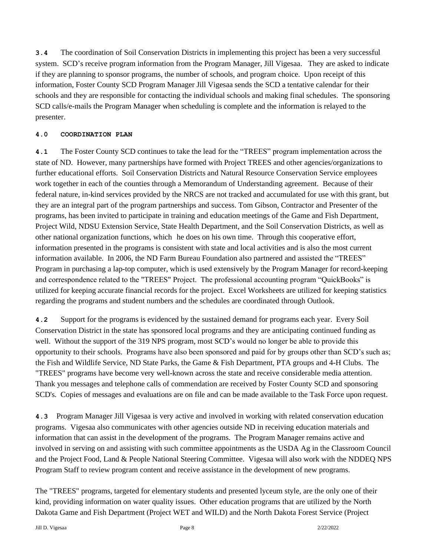**3.4** The coordination of Soil Conservation Districts in implementing this project has been a very successful system. SCD's receive program information from the Program Manager, Jill Vigesaa. They are asked to indicate if they are planning to sponsor programs, the number of schools, and program choice. Upon receipt of this information, Foster County SCD Program Manager Jill Vigesaa sends the SCD a tentative calendar for their schools and they are responsible for contacting the individual schools and making final schedules. The sponsoring SCD calls/e-mails the Program Manager when scheduling is complete and the information is relayed to the presenter.

### **4.0 COORDINATION PLAN**

**4.1** The Foster County SCD continues to take the lead for the "TREES" program implementation across the state of ND. However, many partnerships have formed with Project TREES and other agencies/organizations to further educational efforts. Soil Conservation Districts and Natural Resource Conservation Service employees work together in each of the counties through a Memorandum of Understanding agreement. Because of their federal nature, in-kind services provided by the NRCS are not tracked and accumulated for use with this grant, but they are an integral part of the program partnerships and success. Tom Gibson, Contractor and Presenter of the programs, has been invited to participate in training and education meetings of the Game and Fish Department, Project Wild, NDSU Extension Service, State Health Department, and the Soil Conservation Districts, as well as other national organization functions, which he does on his own time. Through this cooperative effort, information presented in the programs is consistent with state and local activities and is also the most current information available. In 2006, the ND Farm Bureau Foundation also partnered and assisted the "TREES" Program in purchasing a lap-top computer, which is used extensively by the Program Manager for record-keeping and correspondence related to the "TREES" Project. The professional accounting program "QuickBooks" is utilized for keeping accurate financial records for the project. Excel Worksheets are utilized for keeping statistics regarding the programs and student numbers and the schedules are coordinated through Outlook.

**4.2** Support for the programs is evidenced by the sustained demand for programs each year. Every Soil Conservation District in the state has sponsored local programs and they are anticipating continued funding as well. Without the support of the 319 NPS program, most SCD's would no longer be able to provide this opportunity to their schools. Programs have also been sponsored and paid for by groups other than SCD's such as; the Fish and Wildlife Service, ND State Parks, the Game & Fish Department, PTA groups and 4-H Clubs. The "TREES" programs have become very well-known across the state and receive considerable media attention. Thank you messages and telephone calls of commendation are received by Foster County SCD and sponsoring SCD's. Copies of messages and evaluations are on file and can be made available to the Task Force upon request.

**4.3** Program Manager Jill Vigesaa is very active and involved in working with related conservation education programs. Vigesaa also communicates with other agencies outside ND in receiving education materials and information that can assist in the development of the programs. The Program Manager remains active and involved in serving on and assisting with such committee appointments as the USDA Ag in the Classroom Council and the Project Food, Land & People National Steering Committee. Vigesaa will also work with the NDDEQ NPS Program Staff to review program content and receive assistance in the development of new programs.

The "TREES" programs, targeted for elementary students and presented lyceum style, are the only one of their kind, providing information on water quality issues. Other education programs that are utilized by the North Dakota Game and Fish Department (Project WET and WILD) and the North Dakota Forest Service (Project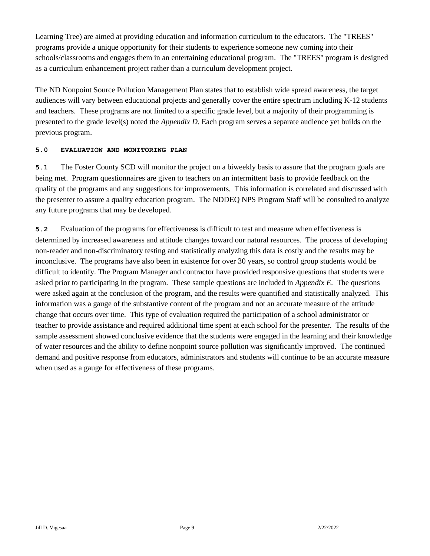Learning Tree) are aimed at providing education and information curriculum to the educators. The "TREES" programs provide a unique opportunity for their students to experience someone new coming into their schools/classrooms and engages them in an entertaining educational program. The "TREES" program is designed as a curriculum enhancement project rather than a curriculum development project.

The ND Nonpoint Source Pollution Management Plan states that to establish wide spread awareness, the target audiences will vary between educational projects and generally cover the entire spectrum including K-12 students and teachers. These programs are not limited to a specific grade level, but a majority of their programming is presented to the grade level(s) noted the *Appendix D*. Each program serves a separate audience yet builds on the previous program.

### **5.0 EVALUATION AND MONITORING PLAN**

**5.1** The Foster County SCD will monitor the project on a biweekly basis to assure that the program goals are being met. Program questionnaires are given to teachers on an intermittent basis to provide feedback on the quality of the programs and any suggestions for improvements. This information is correlated and discussed with the presenter to assure a quality education program. The NDDEQ NPS Program Staff will be consulted to analyze any future programs that may be developed.

**5.2** Evaluation of the programs for effectiveness is difficult to test and measure when effectiveness is determined by increased awareness and attitude changes toward our natural resources. The process of developing non-reader and non-discriminatory testing and statistically analyzing this data is costly and the results may be inconclusive. The programs have also been in existence for over 30 years, so control group students would be difficult to identify. The Program Manager and contractor have provided responsive questions that students were asked prior to participating in the program. These sample questions are included in *Appendix E*. The questions were asked again at the conclusion of the program, and the results were quantified and statistically analyzed. This information was a gauge of the substantive content of the program and not an accurate measure of the attitude change that occurs over time. This type of evaluation required the participation of a school administrator or teacher to provide assistance and required additional time spent at each school for the presenter. The results of the sample assessment showed conclusive evidence that the students were engaged in the learning and their knowledge of water resources and the ability to define nonpoint source pollution was significantly improved. The continued demand and positive response from educators, administrators and students will continue to be an accurate measure when used as a gauge for effectiveness of these programs.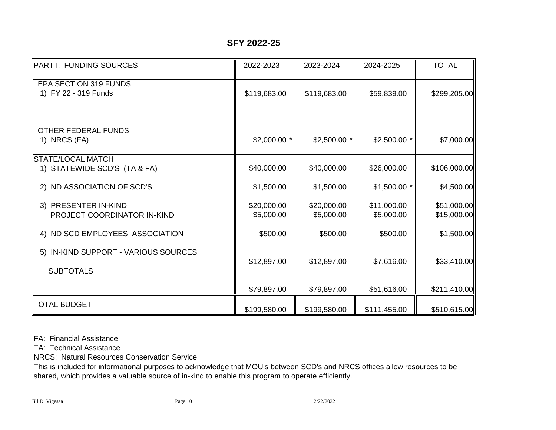### **SFY 2022-25**

| <b>PART I: FUNDING SOURCES</b>                           | 2022-2023                 | 2023-2024                 | 2024-2025                 | <b>TOTAL</b>               |
|----------------------------------------------------------|---------------------------|---------------------------|---------------------------|----------------------------|
| EPA SECTION 319 FUNDS<br>1) FY 22 - 319 Funds            | \$119,683.00              | \$119,683.00              | \$59,839.00               | \$299,205.00               |
| <b>OTHER FEDERAL FUNDS</b><br>1) NRCS (FA)               | $$2,000.00$ *             | $$2,500.00$ *             | $$2,500.00$ *             | \$7,000.00                 |
| <b>STATE/LOCAL MATCH</b><br>1) STATEWIDE SCD'S (TA & FA) | \$40,000.00               | \$40,000.00               | \$26,000.00               | \$106,000.00               |
| 2) ND ASSOCIATION OF SCD'S                               | \$1,500.00                | \$1,500.00                | $$1,500.00$ *             | \$4,500.00                 |
| 3) PRESENTER IN-KIND<br>PROJECT COORDINATOR IN-KIND      | \$20,000.00<br>\$5,000.00 | \$20,000.00<br>\$5,000.00 | \$11,000.00<br>\$5,000.00 | \$51,000.00<br>\$15,000.00 |
| 4) ND SCD EMPLOYEES ASSOCIATION                          | \$500.00                  | \$500.00                  | \$500.00                  | \$1,500.00                 |
| 5) IN-KIND SUPPORT - VARIOUS SOURCES<br><b>SUBTOTALS</b> | \$12,897.00               | \$12,897.00               | \$7,616.00                | \$33,410.00                |
|                                                          | \$79,897.00               | \$79,897.00               | \$51,616.00               | \$211,410.00               |
| <b>TOTAL BUDGET</b>                                      | \$199,580.00              | \$199,580.00              | \$111,455.00              | \$510,615.00               |

FA: Financial Assistance

TA: Technical Assistance

NRCS: Natural Resources Conservation Service

This is included for informational purposes to acknowledge that MOU's between SCD's and NRCS offices allow resources to be shared, which provides a valuable source of in-kind to enable this program to operate efficiently.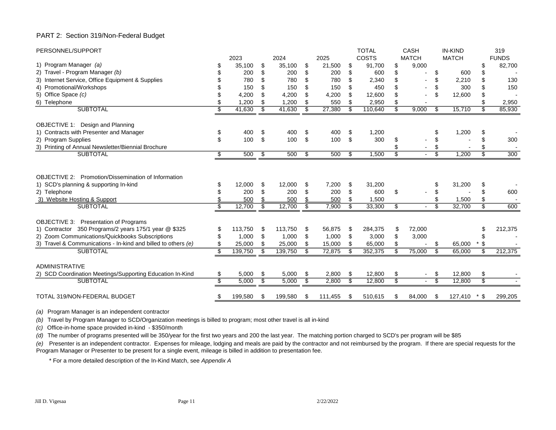#### PART 2: Section 319/Non-Federal Budget

| PERSONNEL/SUPPORT                                                                                                                                                       |                          |                      |                          |                      |                |                     |                           | <b>TOTAL</b>           |                          | <b>CASH</b>     |                         | <b>IN-KIND</b>  |                 | 319          |
|-------------------------------------------------------------------------------------------------------------------------------------------------------------------------|--------------------------|----------------------|--------------------------|----------------------|----------------|---------------------|---------------------------|------------------------|--------------------------|-----------------|-------------------------|-----------------|-----------------|--------------|
|                                                                                                                                                                         |                          | 2023                 |                          | 2024                 |                | 2025                |                           | COSTS                  |                          | <b>MATCH</b>    |                         | <b>MATCH</b>    |                 | <b>FUNDS</b> |
| 1) Program Manager (a)                                                                                                                                                  |                          | 35.100               | \$                       | 35.100               | \$             | 21,500              | \$                        | 91.700                 | \$                       | 9,000           |                         |                 | \$              | 82,700       |
| 2) Travel - Program Manager (b)                                                                                                                                         |                          | 200                  | \$                       | 200                  | \$             | 200                 | \$                        | 600                    | \$                       |                 | \$                      | 600             | \$              |              |
| 3) Internet Service, Office Equipment & Supplies                                                                                                                        |                          | 780                  | \$                       | 780                  | \$             | 780                 | \$                        | 2,340                  |                          |                 | \$                      | 2,210           |                 | 130          |
| 4) Promotional/Workshops                                                                                                                                                |                          | 150                  | \$                       | 150                  | \$             | 150                 | \$                        | 450                    | \$                       |                 | \$                      | 300             |                 | 150          |
| 5) Office Space (c)                                                                                                                                                     |                          | 4,200                | \$                       | 4,200                | \$             | 4,200               | \$                        | 12,600                 | \$                       |                 | \$                      | 12,600          | \$              |              |
| 6) Telephone                                                                                                                                                            | \$                       | 1,200                | \$                       | 1,200                | \$             | 550                 | \$                        | 2,950                  | \$                       |                 |                         |                 |                 | 2,950        |
| <b>SUBTOTAL</b>                                                                                                                                                         | \$                       | 41,630               | \$                       | 41,630               | \$             | 27,380              | \$                        | 110,640                | \$                       | 9,000           | \$                      | 15,710          | \$              | 85,930       |
| OBJECTIVE 1: Design and Planning                                                                                                                                        |                          |                      |                          |                      |                |                     |                           |                        |                          |                 |                         |                 |                 |              |
| 1) Contracts with Presenter and Manager                                                                                                                                 | \$                       | 400                  | \$                       | 400                  | \$             | 400                 | \$                        | 1,200                  |                          |                 | \$                      | 1,200           | S               |              |
| 2) Program Supplies                                                                                                                                                     | \$                       | 100                  | \$                       | 100                  | \$             | 100                 | \$                        | 300                    | \$                       |                 | \$                      |                 |                 | 300          |
| 3) Printing of Annual Newsletter/Biennial Brochure                                                                                                                      |                          |                      |                          |                      |                |                     |                           |                        |                          |                 | \$                      |                 |                 |              |
| <b>SUBTOTAL</b>                                                                                                                                                         | \$                       | 500                  | \$                       | 500                  | \$             | 500                 | \$                        | 1,500                  | \$                       |                 | \$                      | 1,200           | \$.             | 300          |
| <b>OBJECTIVE 2: Promotion/Dissemination of Information</b><br>1) SCD's planning & supporting In-kind<br>2) Telephone<br>3) Website Hosting & Support<br><b>SUBTOTAL</b> | \$<br>\$<br>\$           | 12,000<br>200<br>500 | \$<br>\$<br>\$           | 12,000<br>200<br>500 | \$<br>\$<br>\$ | 7,200<br>200<br>500 | \$<br>\$<br>\$<br>\$      | 31,200<br>600<br>1,500 | \$                       |                 | \$<br>\$<br>\$          | 31,200<br>1,500 | \$<br>\$<br>\$. | 600<br>600   |
|                                                                                                                                                                         |                          | 12,700               |                          | 12,700               |                | 7,900               |                           | 33,300                 | \$                       | $\blacksquare$  |                         | 32,700          |                 |              |
| OBJECTIVE 3: Presentation of Programs<br>1) Contractor 350 Programs/2 years 175/1 year @ \$325<br>2) Zoom Communications/Quickbooks Subscriptions                       | \$<br>\$                 | 113,750<br>1,000     | \$<br>\$                 | 113,750<br>1,000     | \$<br>\$       | 56,875<br>1,000     | -\$<br>\$                 | 284,375<br>3,000       | \$                       | 72,000<br>3,000 |                         |                 | S               | 212,375      |
| 3) Travel & Communications - In-kind and billed to others (e)                                                                                                           | \$                       | 25,000               | \$                       | 25,000               | \$             | 15,000              | \$                        | 65,000                 |                          |                 | \$                      | 65,000          | -\$             |              |
| <b>SUBTOTAL</b>                                                                                                                                                         | S                        | 139,750              | \$                       | 139,750              | \$             | 72,875              | \$                        | 352,375                | \$                       | 75,000          | \$                      | 65,000          | \$              | 212,375      |
| <b>ADMINISTRATIVE</b><br>2) SCD Coordination Meetings/Supporting Education In-Kind                                                                                      | \$                       | 5,000                | \$                       | 5,000                | \$             | 2,800               | \$                        | 12,800                 | \$                       | $\sim$          | \$                      | 12,800          | \$              |              |
| <b>SUBTOTAL</b>                                                                                                                                                         | $\overline{\mathcal{S}}$ | 5,000                | $\overline{\mathcal{S}}$ | 5,000                | \$             | 2,800               | $\overline{\mathfrak{s}}$ | 12,800                 | $\overline{\mathcal{S}}$ | $\blacksquare$  | $\overline{\mathbf{3}}$ | 12,800          | s,              |              |
| TOTAL 319/NON-FEDERAL BUDGET                                                                                                                                            | \$                       | 199,580              | \$                       | 199,580              | \$             | 111,455             | \$                        | 510,615                | \$                       | 84.000          | \$                      | 127,410         | * \$            | 299,205      |

*(a)* Program Manager is an independent contractor

*(b)* Travel by Program Manager to SCD/Organization meetings is billed to program; most other travel is all in-kind

*(c)* Office-in-home space provided in-kind - \$350/month

*(d)* The number of programs presented will be 350/year for the first two years and 200 the last year. The matching portion charged to SCD's per program will be \$85

*(e)* Presenter is an independent contractor. Expenses for mileage, lodging and meals are paid by the contractor and not reimbursed by the program. If there are special requests for the Program Manager or Presenter to be present for a single event, mileage is billed in addition to presentation fee.

\* For a more detailed description of the In-Kind Match, see *Appendix A*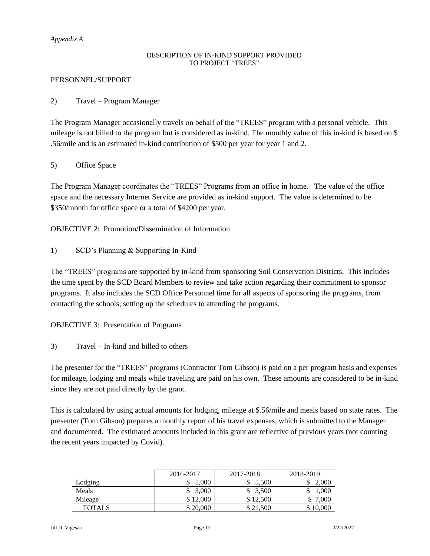### *Appendix A*

### DESCRIPTION OF IN-KIND SUPPORT PROVIDED TO PROJECT "TREES"

### PERSONNEL/SUPPORT

### 2) Travel – Program Manager

The Program Manager occasionally travels on behalf of the "TREES" program with a personal vehicle. This mileage is not billed to the program but is considered as in-kind. The monthly value of this in-kind is based on \$ .56/mile and is an estimated in-kind contribution of \$500 per year for year 1 and 2.

### 5) Office Space

The Program Manager coordinates the "TREES" Programs from an office in home. The value of the office space and the necessary Internet Service are provided as in-kind support. The value is determined to be \$350/month for office space or a total of \$4200 per year.

OBJECTIVE 2: Promotion/Dissemination of Information

1) SCD's Planning & Supporting In-Kind

The "TREES" programs are supported by in-kind from sponsoring Soil Conservation Districts. This includes the time spent by the SCD Board Members to review and take action regarding their commitment to sponsor programs. It also includes the SCD Office Personnel time for all aspects of sponsoring the programs, from contacting the schools, setting up the schedules to attending the programs.

OBJECTIVE 3: Presentation of Programs

3) Travel – In-kind and billed to others

The presenter for the "TREES" programs (Contractor Tom Gibson) is paid on a per program basis and expenses for mileage, lodging and meals while traveling are paid on his own. These amounts are considered to be in-kind since they are not paid directly by the grant.

This is calculated by using actual amounts for lodging, mileage at \$.56/mile and meals based on state rates. The presenter (Tom Gibson) prepares a monthly report of his travel expenses, which is submitted to the Manager and documented. The estimated amounts included in this grant are reflective of previous years (not counting the recent years impacted by Covid).

|               | 2016-2017 | 2017-2018 | 2018-2019 |
|---------------|-----------|-----------|-----------|
| Lodging       | 5.000     | 5,500     | 2,000     |
| Meals         | 3.000     | 3.500     | .000      |
| Mileage       | \$12,000  | \$12.500  | 7,000     |
| <b>TOTALS</b> | \$20,000  | \$21,500  | \$10,000  |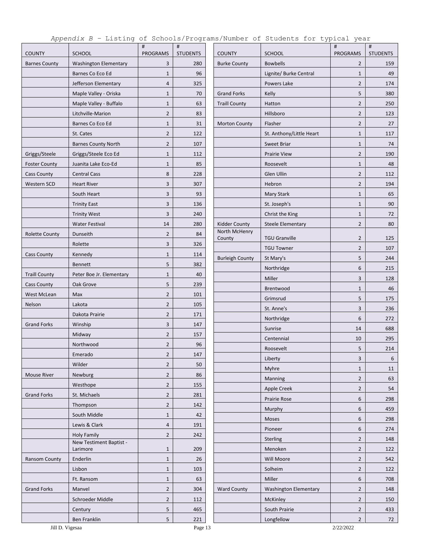| <b>COUNTY</b><br><b>Barnes County</b> | <b>SCHOOL</b><br><b>Washington Elementary</b><br>Barnes Co Eco Ed<br>Jefferson Elementary<br>Maple Valley - Oriska<br>Maple Valley - Buffalo | <b>PROGRAMS</b><br>3<br>$\mathbf{1}$<br>4 | <b>STUDENTS</b><br>280<br>96 | <b>COUNTY</b><br><b>Burke County</b> | <b>SCHOOL</b><br><b>Bowbells</b> | PROGRAMS<br>$\overline{2}$ | <b>STUDENTS</b><br>159 |
|---------------------------------------|----------------------------------------------------------------------------------------------------------------------------------------------|-------------------------------------------|------------------------------|--------------------------------------|----------------------------------|----------------------------|------------------------|
|                                       |                                                                                                                                              |                                           |                              |                                      |                                  |                            |                        |
|                                       |                                                                                                                                              |                                           |                              |                                      | Lignite/ Burke Central           | $\mathbf{1}$               | 49                     |
|                                       |                                                                                                                                              |                                           | 325                          |                                      | Powers Lake                      | $\overline{2}$             | 174                    |
|                                       |                                                                                                                                              | $\mathbf{1}$                              | 70                           | <b>Grand Forks</b>                   | Kelly                            | 5                          | 380                    |
|                                       |                                                                                                                                              | $\mathbf{1}$                              | 63                           | <b>Traill County</b>                 | Hatton                           | $\overline{2}$             | 250                    |
|                                       | Litchville-Marion                                                                                                                            | $\overline{2}$                            | 83                           |                                      | Hillsboro                        | $\overline{2}$             | 123                    |
|                                       | Barnes Co Eco Ed                                                                                                                             | $\mathbf{1}$                              | 31                           | <b>Morton County</b>                 | Flasher                          | $\overline{2}$             | 27                     |
|                                       | St. Cates                                                                                                                                    | $\overline{2}$                            | 122                          |                                      | St. Anthony/Little Heart         | $\mathbf{1}$               | 117                    |
|                                       | <b>Barnes County North</b>                                                                                                                   | $\overline{2}$                            | 107                          |                                      | <b>Sweet Briar</b>               | $\mathbf{1}$               | 74                     |
| Griggs/Steele                         | Griggs/Steele Eco Ed                                                                                                                         | $\mathbf{1}$                              | 112                          |                                      | <b>Prairie View</b>              | $\overline{2}$             | 190                    |
| <b>Foster County</b>                  | Juanita Lake Eco-Ed                                                                                                                          | $\mathbf{1}$                              | 85                           |                                      | Roosevelt                        | $\mathbf{1}$               | 48                     |
| <b>Cass County</b>                    | <b>Central Cass</b>                                                                                                                          | 8                                         | 228                          |                                      | Glen Ullin                       | $\overline{2}$             | 112                    |
| Western SCD                           | <b>Heart River</b>                                                                                                                           | 3                                         | 307                          |                                      | Hebron                           | $\overline{2}$             | 194                    |
|                                       | South Heart                                                                                                                                  | 3                                         | 93                           |                                      | Mary Stark                       | $\mathbf{1}$               | 65                     |
|                                       | <b>Trinity East</b>                                                                                                                          | 3                                         | 136                          |                                      | St. Joseph's                     | $\mathbf{1}$               | 90                     |
|                                       | <b>Trinity West</b>                                                                                                                          | 3                                         | 240                          |                                      | Christ the King                  | $\mathbf{1}$               | 72                     |
|                                       | <b>Water Festival</b>                                                                                                                        | 14                                        | 280                          | Kidder County                        | Steele Elementary                | $\overline{2}$             | 80                     |
| <b>Rolette County</b>                 | Dunseith                                                                                                                                     | $\overline{2}$                            | 84                           | North McHenry                        |                                  |                            |                        |
|                                       | Rolette                                                                                                                                      | 3                                         | 326                          | County                               | <b>TGU Granville</b>             | $\overline{2}$             | 125                    |
| <b>Cass County</b>                    | Kennedy                                                                                                                                      | $\mathbf{1}$                              | 114                          |                                      | <b>TGU Towner</b>                | $\overline{2}$             | 107                    |
|                                       | <b>Bennett</b>                                                                                                                               | 5                                         | 382                          | <b>Burleigh County</b>               | St Mary's                        | 5                          | 244                    |
| <b>Traill County</b>                  | Peter Boe Jr. Elementary                                                                                                                     | $\mathbf{1}$                              | 40                           |                                      | Northridge                       | 6                          | 215                    |
| <b>Cass County</b>                    | Oak Grove                                                                                                                                    | 5                                         | 239                          |                                      | Miller                           | 3                          | 128                    |
| West McLean                           | Max                                                                                                                                          | $\overline{2}$                            | 101                          |                                      | Brentwood                        | $\mathbf{1}$               | 46                     |
| Nelson                                | Lakota                                                                                                                                       | $\overline{2}$                            | 105                          |                                      | Grimsrud                         | 5                          | 175                    |
|                                       | Dakota Prairie                                                                                                                               | $\overline{2}$                            | 171                          |                                      | St. Anne's                       | 3                          | 236                    |
| <b>Grand Forks</b>                    | Winship                                                                                                                                      | 3                                         | 147                          |                                      | Northridge                       | 6                          | 272                    |
|                                       | Midway                                                                                                                                       | $\overline{2}$                            | 157                          |                                      | Sunrise                          | 14                         | 688                    |
|                                       | Northwood                                                                                                                                    | $\overline{2}$                            | 96                           |                                      | Centennial                       | 10                         | 295                    |
|                                       | Emerado                                                                                                                                      | $\overline{2}$                            | 147                          |                                      | Roosevelt                        | 5                          | 214                    |
|                                       | Wilder                                                                                                                                       | $\overline{2}$                            | 50                           |                                      | Liberty                          | 3                          | $\boldsymbol{6}$       |
| <b>Mouse River</b>                    | Newburg                                                                                                                                      | $\overline{2}$                            | 86                           |                                      | Myhre                            | $\mathbf{1}$               | 11                     |
|                                       | Westhope                                                                                                                                     | $\overline{2}$                            | 155                          |                                      | Manning                          | $\overline{2}$             | 63                     |
| <b>Grand Forks</b>                    | St. Michaels                                                                                                                                 | $\overline{2}$                            | 281                          |                                      | Apple Creek                      | $\overline{2}$             | 54                     |
|                                       | Thompson                                                                                                                                     | $\overline{2}$                            | 142                          |                                      | Prairie Rose                     | 6                          | 298                    |
|                                       | South Middle                                                                                                                                 | $\mathbf{1}$                              | 42                           |                                      | Murphy                           | 6                          | 459                    |
|                                       | Lewis & Clark                                                                                                                                | 4                                         | 191                          |                                      | Moses                            | 6                          | 298                    |
|                                       | <b>Holy Family</b>                                                                                                                           | $\overline{2}$                            | 242                          |                                      | Pioneer                          | 6                          | 274                    |
|                                       | New Testiment Baptist -                                                                                                                      |                                           |                              |                                      | Sterling                         | $\overline{2}$             | 148                    |
|                                       | Larimore                                                                                                                                     | $\mathbf{1}$                              | 209                          |                                      | Menoken                          | $\overline{2}$             | 122                    |
| Ransom County                         | Enderlin                                                                                                                                     | $\mathbf{1}$                              | 26                           |                                      | Will Moore                       | $\overline{2}$             | 542                    |
|                                       | Lisbon                                                                                                                                       | $\mathbf{1}$                              | 103                          |                                      | Solheim                          | $\overline{2}$             | 122                    |
|                                       | Ft. Ransom                                                                                                                                   | $1\,$                                     | 63                           |                                      | Miller                           | 6                          | 708                    |
| <b>Grand Forks</b>                    | Manvel                                                                                                                                       | $\overline{2}$                            | 304                          | <b>Ward County</b>                   | <b>Washington Elementary</b>     | $\overline{2}$             | 148                    |
|                                       | Schroeder Middle                                                                                                                             | $\overline{2}$                            | 112                          |                                      | <b>McKinley</b>                  | $\overline{2}$             | 150                    |
|                                       | Century                                                                                                                                      | 5                                         | 465                          |                                      | South Prairie                    | $\overline{2}$             | 433                    |
|                                       | Ben Franklin                                                                                                                                 | 5                                         | 221                          |                                      | Longfellow                       | $\overline{2}$             | 72                     |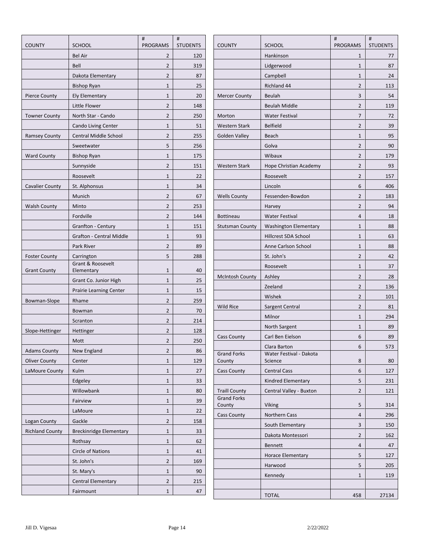| <b>COUNTY</b>          | <b>SCHOOL</b>                   | #<br><b>PROGRAMS</b> | #<br><b>STUDENTS</b> | <b>COUNTY</b>                              | <b>SCHOOL</b>                | $\#$<br><b>PROGRAMS</b> | #<br><b>STUDENTS</b> |
|------------------------|---------------------------------|----------------------|----------------------|--------------------------------------------|------------------------------|-------------------------|----------------------|
|                        | <b>Bel Air</b>                  | $\overline{2}$       | 120                  |                                            | Hankinson                    | $\mathbf{1}$            | 77                   |
|                        | Bell                            | $\overline{2}$       | 319                  |                                            | Lidgerwood                   | $\mathbf{1}$            | 87                   |
|                        | Dakota Elementary               | $\overline{2}$       | 87                   |                                            | Campbell                     | $\mathbf{1}$            | 24                   |
|                        | <b>Bishop Ryan</b>              | $\mathbf{1}$         | 25                   |                                            | Richland 44                  | $\overline{2}$          | 113                  |
| <b>Pierce County</b>   | <b>Ely Elementary</b>           | $\mathbf{1}$         | 20                   | <b>Mercer County</b>                       | Beulah                       | 3                       | 54                   |
|                        | Little Flower                   | $\overline{2}$       | 148                  |                                            | <b>Beulah Middle</b>         | $\overline{2}$          | 119                  |
| <b>Towner County</b>   | North Star - Cando              | $\overline{2}$       | 250                  | Morton                                     | <b>Water Festival</b>        | $\overline{7}$          | 72                   |
|                        | Cando Living Center             | $\mathbf{1}$         | 51                   | <b>Western Stark</b>                       | <b>Belfield</b>              | $\overline{2}$          | 39                   |
| <b>Ramsey County</b>   | <b>Central Middle School</b>    | $\overline{2}$       | 255                  | <b>Golden Valley</b>                       | Beach                        | $\mathbf{1}$            | 95                   |
|                        | Sweetwater                      | 5                    | 256                  |                                            | Golva                        | $\overline{2}$          | 90                   |
| <b>Ward County</b>     | <b>Bishop Ryan</b>              | $\mathbf{1}$         | 175                  |                                            | Wibaux                       | $\overline{2}$          | 179                  |
|                        | Sunnyside                       | $\overline{2}$       | 151                  | <b>Western Stark</b>                       | Hope Christian Academy       | $\overline{2}$          | 93                   |
|                        | Roosevelt                       | $\mathbf{1}$         | 22                   |                                            | Roosevelt                    | $\overline{2}$          | 157                  |
| <b>Cavalier County</b> | St. Alphonsus                   | $\mathbf{1}$         | 34                   |                                            | Lincoln                      | 6                       | 406                  |
|                        | Munich                          | $\overline{2}$       | 67                   | <b>Wells County</b>                        | Fessenden-Bowdon             | $\overline{2}$          | 183                  |
| <b>Walsh County</b>    | Minto                           | $\overline{2}$       | 253                  |                                            | Harvey                       | $\overline{2}$          | 94                   |
|                        | Fordville                       | $\overline{2}$       | 144                  | <b>Bottineau</b>                           | <b>Water Festival</b>        | $\overline{4}$          | 18                   |
|                        | Granfton - Century              | $\mathbf{1}$         | 151                  | <b>Stutsman County</b>                     | <b>Washington Elementary</b> | $\mathbf{1}$            | 88                   |
|                        | <b>Grafton - Central Middle</b> | $\mathbf{1}$         | 93                   |                                            | <b>Hillcrest SDA School</b>  | $\mathbf{1}$            | 63                   |
|                        | Park River                      | $\overline{2}$       | 89                   |                                            | Anne Carlson School          | $\mathbf{1}$            | 88                   |
| <b>Foster County</b>   | Carrington                      | 5                    | 288                  |                                            | St. John's                   | $\overline{2}$          | 42                   |
|                        | Grant & Roosevelt               |                      |                      |                                            | Roosevelt                    | $\mathbf{1}$            | 37                   |
| <b>Grant County</b>    | Elementary                      | $\mathbf{1}$         | 40                   | <b>McIntosh County</b>                     | Ashley                       | $\overline{2}$          | 28                   |
|                        | Grant Co. Junior High           | $\mathbf{1}$         | 25                   |                                            | Zeeland                      | $\overline{2}$          | 136                  |
|                        | <b>Prairie Learning Center</b>  | $\mathbf{1}$         | 15                   |                                            | Wishek                       | $\overline{2}$          | 101                  |
| Bowman-Slope           | Rhame                           | $\overline{2}$       | 259                  | <b>Wild Rice</b>                           | Sargent Central              | $\overline{2}$          | 81                   |
|                        | Bowman                          | $\overline{2}$       | 70                   |                                            | Milnor                       | $\mathbf{1}$            | 294                  |
|                        | Scranton                        | $\overline{2}$       | 214                  |                                            | North Sargent                | $\mathbf{1}$            | 89                   |
| Slope-Hettinger        | Hettinger                       | $\overline{2}$       | 128                  | <b>Cass County</b>                         | Carl Ben Eielson             | 6                       | 89                   |
|                        | Mott                            | $\overline{2}$       | 250                  |                                            | Clara Barton                 | 6                       | 573                  |
| <b>Adams County</b>    | New England                     | $\overline{2}$       | 86                   | <b>Grand Forks</b>                         | Water Festival - Dakota      |                         |                      |
| <b>Oliver County</b>   | Center                          | $\mathbf{1}$         | 129                  | County                                     | Science                      | 8                       | 80                   |
| LaMoure County         | Kulm                            | $\mathbf{1}$         | 27                   | <b>Cass County</b>                         | <b>Central Cass</b>          | 6                       | 127                  |
|                        | Edgeley                         | $\mathbf{1}$         | 33                   |                                            | Kindred Elementary           | 5                       | 231                  |
|                        | Willowbank                      | $\mathbf{1}$         | 80                   | <b>Traill County</b><br><b>Grand Forks</b> | Central Valley - Buxton      | $\overline{2}$          | 121                  |
|                        | Fairview                        | $\mathbf{1}$         | 39                   | County                                     | <b>Viking</b>                | 5                       | 314                  |
|                        | LaMoure                         | $\mathbf{1}$         | 22                   | <b>Cass County</b>                         | Northern Cass                | $\overline{4}$          | 296                  |
| Logan County           | Gackle                          | $\overline{2}$       | 158                  |                                            | South Elementary             | 3                       | 150                  |
| <b>Richland County</b> | <b>Breckinridge Elementary</b>  | $\mathbf{1}$         | 33                   |                                            | Dakota Montessori            | $\overline{2}$          | 162                  |
|                        | Rothsay                         | $\mathbf{1}$         | 62                   |                                            | Bennett                      | $\overline{4}$          | 47                   |
|                        | <b>Circle of Nations</b>        | $\mathbf{1}$         | 41                   |                                            | <b>Horace Elementary</b>     | 5                       | 127                  |
|                        | St. John's                      | $\overline{2}$       | 169                  |                                            | Harwood                      | 5                       | 205                  |
|                        | St. Mary's                      | $\mathbf{1}$         | 90                   |                                            | Kennedy                      | $\mathbf{1}$            | 119                  |
|                        | <b>Central Elementary</b>       | $\overline{2}$       | 215                  |                                            |                              |                         |                      |
|                        | Fairmount                       | $\mathbf{1}$         | 47                   |                                            | <b>TOTAL</b>                 | 458                     | 27134                |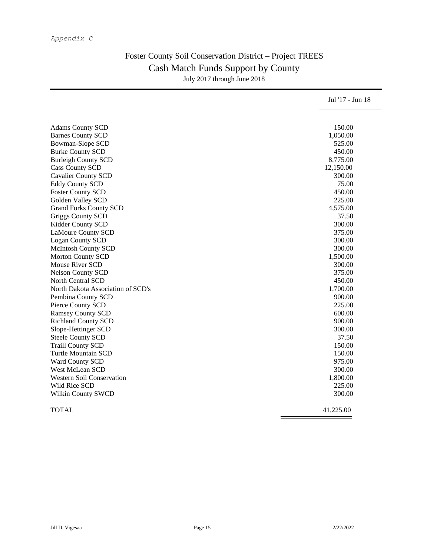### *Appendix C*

# Foster County Soil Conservation District – Project TREES Cash Match Funds Support by County July 2017 through June 2018

|                                   | Jul '17 - Jun 18 |
|-----------------------------------|------------------|
|                                   |                  |
| <b>Adams County SCD</b>           | 150.00           |
| <b>Barnes County SCD</b>          | 1,050.00         |
| Bowman-Slope SCD                  | 525.00           |
| <b>Burke County SCD</b>           | 450.00           |
| <b>Burleigh County SCD</b>        | 8,775.00         |
| <b>Cass County SCD</b>            | 12,150.00        |
| <b>Cavalier County SCD</b>        | 300.00           |
| <b>Eddy County SCD</b>            | 75.00            |
| <b>Foster County SCD</b>          | 450.00           |
| Golden Valley SCD                 | 225.00           |
| <b>Grand Forks County SCD</b>     | 4,575.00         |
| Griggs County SCD                 | 37.50            |
| Kidder County SCD                 | 300.00           |
| <b>LaMoure County SCD</b>         | 375.00           |
| <b>Logan County SCD</b>           | 300.00           |
| <b>McIntosh County SCD</b>        | 300.00           |
| <b>Morton County SCD</b>          | 1,500.00         |
| <b>Mouse River SCD</b>            | 300.00           |
| <b>Nelson County SCD</b>          | 375.00           |
| North Central SCD                 | 450.00           |
| North Dakota Association of SCD's | 1,700.00         |
| Pembina County SCD                | 900.00           |
| Pierce County SCD                 | 225.00           |
| <b>Ramsey County SCD</b>          | 600.00           |
| <b>Richland County SCD</b>        | 900.00           |
| Slope-Hettinger SCD               | 300.00           |
| <b>Steele County SCD</b>          | 37.50            |
| <b>Traill County SCD</b>          | 150.00           |
| <b>Turtle Mountain SCD</b>        | 150.00           |
| Ward County SCD                   | 975.00           |
| West McLean SCD                   | 300.00           |
| <b>Western Soil Conservation</b>  | 1,800.00         |
| Wild Rice SCD                     | 225.00           |
| Wilkin County SWCD                | 300.00           |
| <b>TOTAL</b>                      | 41.225.00        |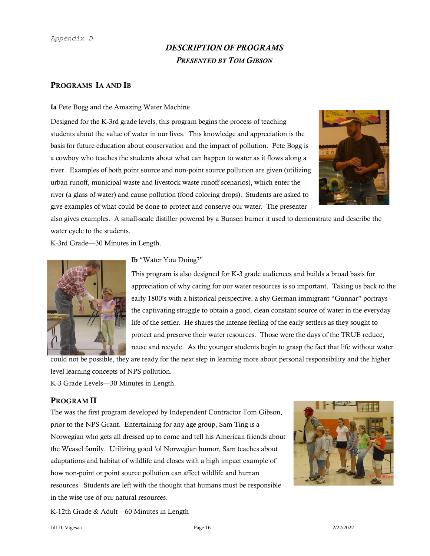#### *Appendix D*

# *DESCRIPTION OF PROGRAMS PRESENTED BY TOM GIBSON*

### PROGRAMS IA AND IB

#### Ia Pete Bogg and the Amazing Water Machine

Designed for the K-3rd grade levels, this program begins the process of teaching students about the value of water in our lives. This knowledge and appreciation is the basis for future education about conservation and the impact of pollution. Pete Bogg is a cowboy who teaches the students about what can happen to water as it flows along a river. Examples of both point source and non-point source pollution are given (utilizing urban runoff, municipal waste and livestock waste runoff scenarios), which enter the river (a glass of water) and cause pollution (food coloring drops). Students are asked to give examples of what could be done to protect and conserve our water. The presenter



also gives examples. A small-scale distiller powered by a Bunsen burner it used to demonstrate and describe the water cycle to the students.

K-3rd Grade—30 Minutes in Length.



Ib "Water You Doing?"

This program is also designed for K-3 grade audiences and builds a broad basis for appreciation of why caring for our water resources is so important. Taking us back to the early 1800's with a historical perspective, a shy German immigrant "Gunnar" portrays the captivating struggle to obtain a good, clean constant source of water in the everyday life of the settler. He shares the intense feeling of the early settlers as they sought to protect and preserve their water resources. Those were the days of the TRUE reduce, reuse and recycle. As the younger students begin to grasp the fact that life without water

could not be possible, they are ready for the next step in learning more about personal responsibility and the higher level learning concepts of NPS pollution. K-3 Grade Levels—30 Minutes in Length.

### PROGRAM II

The was the first program developed by Independent Contractor Tom Gibson, prior to the NPS Grant. Entertaining for any age group, Sam Ting is a Norwegian who gets all dressed up to come and tell his American friends about the Weasel family. Utilizing good 'ol Norwegian humor, Sam teaches about adaptations and habitat of wildlife and closes with a high impact example of how non-point or point source pollution can affect wildlife and human resources. Students are left with the thought that humans must be responsible in the wise use of our natural resources.



K-12th Grade & Adult—60 Minutes in Length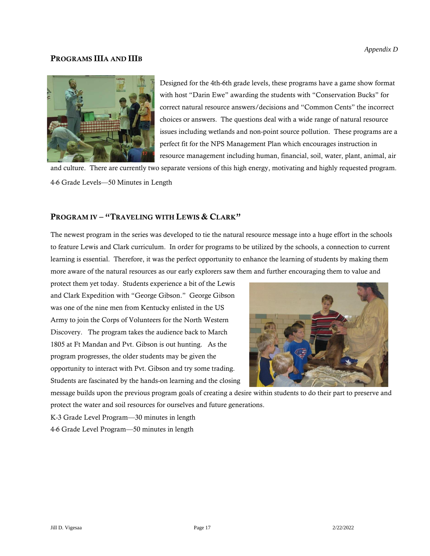### PROGRAMS IIIA AND IIIB



Designed for the 4th-6th grade levels, these programs have a game show format with host "Darin Ewe" awarding the students with "Conservation Bucks" for correct natural resource answers/decisions and "Common Cents" the incorrect choices or answers. The questions deal with a wide range of natural resource issues including wetlands and non-point source pollution. These programs are a perfect fit for the NPS Management Plan which encourages instruction in resource management including human, financial, soil, water, plant, animal, air

and culture. There are currently two separate versions of this high energy, motivating and highly requested program. 4-6 Grade Levels—50 Minutes in Length

### PROGRAM IV - "TRAVELING WITH LEWIS & CLARK"

The newest program in the series was developed to tie the natural resource message into a huge effort in the schools to feature Lewis and Clark curriculum. In order for programs to be utilized by the schools, a connection to current learning is essential. Therefore, it was the perfect opportunity to enhance the learning of students by making them more aware of the natural resources as our early explorers saw them and further encouraging them to value and

protect them yet today. Students experience a bit of the Lewis and Clark Expedition with "George Gibson." George Gibson was one of the nine men from Kentucky enlisted in the US Army to join the Corps of Volunteers for the North Western Discovery. The program takes the audience back to March 1805 at Ft Mandan and Pvt. Gibson is out hunting. As the program progresses, the older students may be given the opportunity to interact with Pvt. Gibson and try some trading. Students are fascinated by the hands-on learning and the closing



message builds upon the previous program goals of creating a desire within students to do their part to preserve and protect the water and soil resources for ourselves and future generations.

K-3 Grade Level Program—30 minutes in length

4-6 Grade Level Program—50 minutes in length